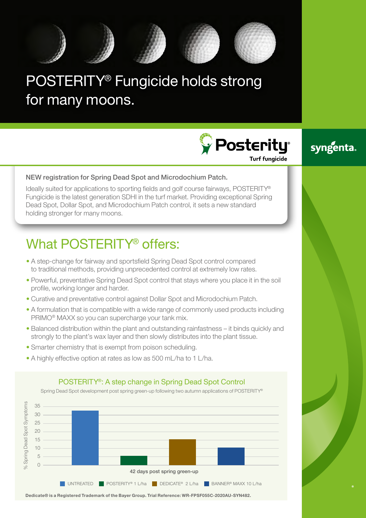

# POSTERITY® Fungicide holds strong for many moons.

**Posterity Turf fungicide** 



### NEW registration for Spring Dead Spot and Microdochium Patch.

Ideally suited for applications to sporting fields and golf course fairways, POSTERITY® Fungicide is the latest generation SDHI in the turf market. Providing exceptional Spring Dead Spot, Dollar Spot, and Microdochium Patch control, it sets a new standard holding stronger for many moons.

# What POSTERITY<sup>®</sup> offers:

- A step-change for fairway and sportsfield Spring Dead Spot control compared to traditional methods, providing unprecedented control at extremely low rates.
- Powerful, preventative Spring Dead Spot control that stays where you place it in the soil profile, working longer and harder.
- Curative and preventative control against Dollar Spot and Microdochium Patch.
- A formulation that is compatible with a wide range of commonly used products including PRIMO® MAXX so you can supercharge your tank mix.
- Balanced distribution within the plant and outstanding rainfastness it binds quickly and strongly to the plant's wax layer and then slowly distributes into the plant tissue.
- Smarter chemistry that is exempt from poison scheduling.
- A highly effective option at rates as low as 500 mL/ha to 1 L/ha.

## POSTERITY®: A step change in Spring Dead Spot Control

Spring Dead Spot development post spring green-up following two autumn applications of POSTERITY®



**Dedicate® is a Registered Trademark of the Bayer Group. Trial Reference: WR-FPSF055C-2020AU-SYN482.**